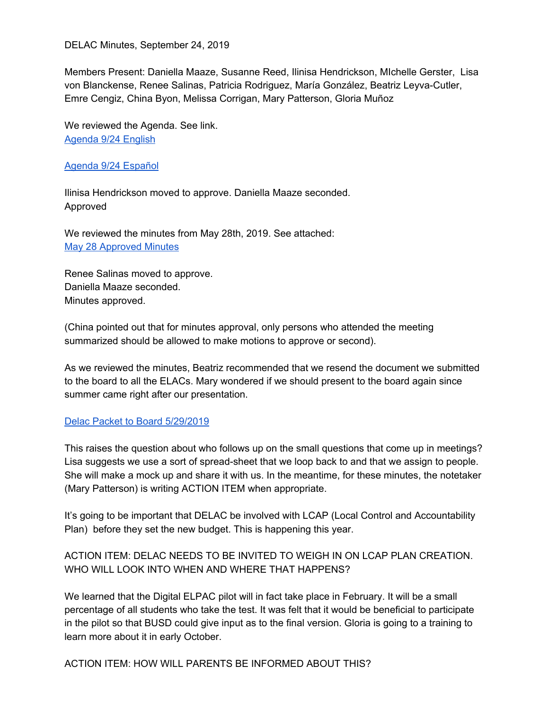Members Present: Daniella Maaze, Susanne Reed, Ilinisa Hendrickson, MIchelle Gerster, Lisa von Blanckense, Renee Salinas, Patricia Rodriguez, María González, Beatriz Leyva-Cutler, Emre Cengiz, China Byon, Melissa Corrigan, Mary Patterson, Gloria Muñoz

We reviewed the Agenda. See link. [Agenda](https://docs.google.com/document/d/15siNEbQSwiVah4-HvQHwL37z4lE78Wb1zs7O2A1Um3o/edit?usp=sharing) 9/24 English

#### Agenda 9/24 [Español](https://docs.google.com/document/d/1Echn2GzQmA8fgEB_RJjq5SAop5K_T5D4QNTnQtCfn9U/edit?usp=sharing)

Ilinisa Hendrickson moved to approve. Daniella Maaze seconded. Approved

We reviewed the minutes from May 28th, 2019. See attached: May 28 [Approved](https://docs.google.com/document/d/1sD2Gmc3WohqyiJZh9YCZ4qzTLGAOVNey3dkq2R2Qy58/edit?usp=sharing) Minutes

Renee Salinas moved to approve. Daniella Maaze seconded. Minutes approved.

(China pointed out that for minutes approval, only persons who attended the meeting summarized should be allowed to make motions to approve or second).

As we reviewed the minutes, Beatriz recommended that we resend the document we submitted to the board to all the ELACs. Mary wondered if we should present to the board again since summer came right after our presentation.

### Delac Packet to Board [5/29/2019](https://drive.google.com/file/d/0B0TcvL4rMQHwb2lQUGJHaVJVOE81WFJCbTNDZ3hmR1JYZXRR/view?usp=sharing)

This raises the question about who follows up on the small questions that come up in meetings? Lisa suggests we use a sort of spread-sheet that we loop back to and that we assign to people. She will make a mock up and share it with us. In the meantime, for these minutes, the notetaker (Mary Patterson) is writing ACTION ITEM when appropriate.

It's going to be important that DELAC be involved with LCAP (Local Control and Accountability Plan) before they set the new budget. This is happening this year.

## ACTION ITEM: DELAC NEEDS TO BE INVITED TO WEIGH IN ON LCAP PLAN CREATION. WHO WILL LOOK INTO WHEN AND WHERE THAT HAPPENS?

We learned that the Digital ELPAC pilot will in fact take place in February. It will be a small percentage of all students who take the test. It was felt that it would be beneficial to participate in the pilot so that BUSD could give input as to the final version. Gloria is going to a training to learn more about it in early October.

ACTION ITEM: HOW WILL PARENTS BE INFORMED ABOUT THIS?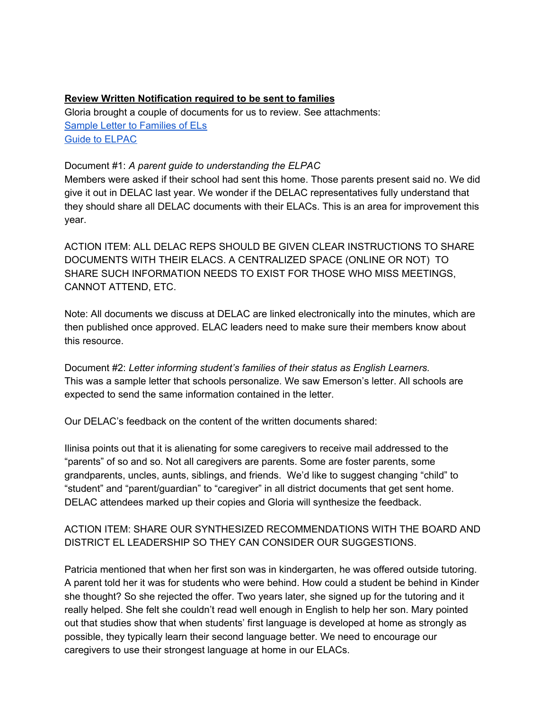### **Review Written Notification required to be sent to families**

Gloria brought a couple of documents for us to review. See attachments: Sample Letter to [Families](https://drive.google.com/file/d/0B0TcvL4rMQHwb3djaVM3M3RoNVhsQjJjanU3ejcta2M5N01v/view?usp=sharing) of ELs Guide to [ELPAC](https://drive.google.com/file/d/0B0TcvL4rMQHwZ3NpUVJUVVNaQUpRX1g0aGg3RDYzLUpSUng0/view?usp=sharing)

#### Document #1: *A parent guide to understanding the ELPAC*

Members were asked if their school had sent this home. Those parents present said no. We did give it out in DELAC last year. We wonder if the DELAC representatives fully understand that they should share all DELAC documents with their ELACs. This is an area for improvement this year.

ACTION ITEM: ALL DELAC REPS SHOULD BE GIVEN CLEAR INSTRUCTIONS TO SHARE DOCUMENTS WITH THEIR ELACS. A CENTRALIZED SPACE (ONLINE OR NOT) TO SHARE SUCH INFORMATION NEEDS TO EXIST FOR THOSE WHO MISS MEETINGS, CANNOT ATTEND, ETC.

Note: All documents we discuss at DELAC are linked electronically into the minutes, which are then published once approved. ELAC leaders need to make sure their members know about this resource.

Document #2: *Letter informing student's families of their status as English Learners.* This was a sample letter that schools personalize. We saw Emerson's letter. All schools are expected to send the same information contained in the letter.

Our DELAC's feedback on the content of the written documents shared:

Ilinisa points out that it is alienating for some caregivers to receive mail addressed to the "parents" of so and so. Not all caregivers are parents. Some are foster parents, some grandparents, uncles, aunts, siblings, and friends. We'd like to suggest changing "child" to "student" and "parent/guardian" to "caregiver" in all district documents that get sent home. DELAC attendees marked up their copies and Gloria will synthesize the feedback.

## ACTION ITEM: SHARE OUR SYNTHESIZED RECOMMENDATIONS WITH THE BOARD AND DISTRICT EL LEADERSHIP SO THEY CAN CONSIDER OUR SUGGESTIONS.

Patricia mentioned that when her first son was in kindergarten, he was offered outside tutoring. A parent told her it was for students who were behind. How could a student be behind in Kinder she thought? So she rejected the offer. Two years later, she signed up for the tutoring and it really helped. She felt she couldn't read well enough in English to help her son. Mary pointed out that studies show that when students' first language is developed at home as strongly as possible, they typically learn their second language better. We need to encourage our caregivers to use their strongest language at home in our ELACs.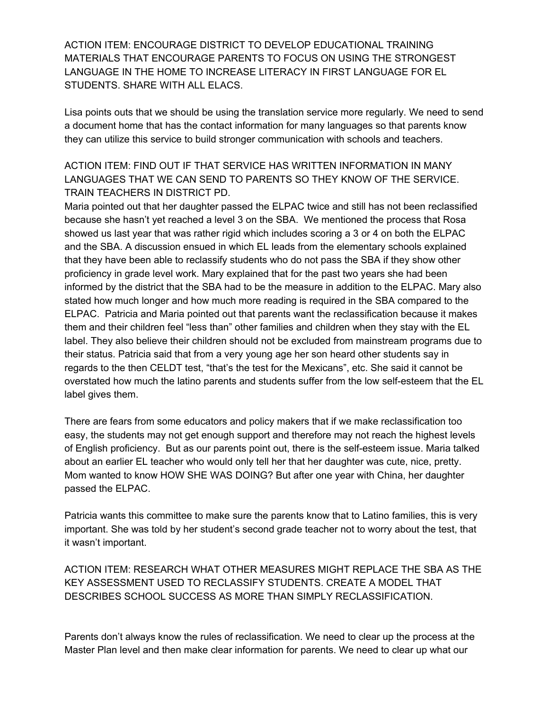ACTION ITEM: ENCOURAGE DISTRICT TO DEVELOP EDUCATIONAL TRAINING MATERIALS THAT ENCOURAGE PARENTS TO FOCUS ON USING THE STRONGEST LANGUAGE IN THE HOME TO INCREASE LITERACY IN FIRST LANGUAGE FOR EL STUDENTS. SHARE WITH ALL ELACS.

Lisa points outs that we should be using the translation service more regularly. We need to send a document home that has the contact information for many languages so that parents know they can utilize this service to build stronger communication with schools and teachers.

## ACTION ITEM: FIND OUT IF THAT SERVICE HAS WRITTEN INFORMATION IN MANY LANGUAGES THAT WE CAN SEND TO PARENTS SO THEY KNOW OF THE SERVICE. TRAIN TEACHERS IN DISTRICT PD.

Maria pointed out that her daughter passed the ELPAC twice and still has not been reclassified because she hasn't yet reached a level 3 on the SBA. We mentioned the process that Rosa showed us last year that was rather rigid which includes scoring a 3 or 4 on both the ELPAC and the SBA. A discussion ensued in which EL leads from the elementary schools explained that they have been able to reclassify students who do not pass the SBA if they show other proficiency in grade level work. Mary explained that for the past two years she had been informed by the district that the SBA had to be the measure in addition to the ELPAC. Mary also stated how much longer and how much more reading is required in the SBA compared to the ELPAC. Patricia and Maria pointed out that parents want the reclassification because it makes them and their children feel "less than" other families and children when they stay with the EL label. They also believe their children should not be excluded from mainstream programs due to their status. Patricia said that from a very young age her son heard other students say in regards to the then CELDT test, "that's the test for the Mexicans", etc. She said it cannot be overstated how much the latino parents and students suffer from the low self-esteem that the EL label gives them.

There are fears from some educators and policy makers that if we make reclassification too easy, the students may not get enough support and therefore may not reach the highest levels of English proficiency. But as our parents point out, there is the self-esteem issue. Maria talked about an earlier EL teacher who would only tell her that her daughter was cute, nice, pretty. Mom wanted to know HOW SHE WAS DOING? But after one year with China, her daughter passed the ELPAC.

Patricia wants this committee to make sure the parents know that to Latino families, this is very important. She was told by her student's second grade teacher not to worry about the test, that it wasn't important.

ACTION ITEM: RESEARCH WHAT OTHER MEASURES MIGHT REPLACE THE SBA AS THE KEY ASSESSMENT USED TO RECLASSIFY STUDENTS. CREATE A MODEL THAT DESCRIBES SCHOOL SUCCESS AS MORE THAN SIMPLY RECLASSIFICATION.

Parents don't always know the rules of reclassification. We need to clear up the process at the Master Plan level and then make clear information for parents. We need to clear up what our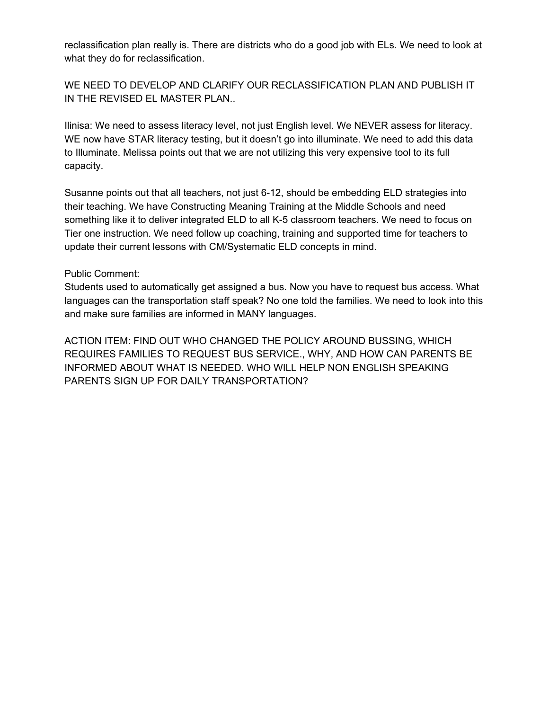reclassification plan really is. There are districts who do a good job with ELs. We need to look at what they do for reclassification.

WE NEED TO DEVELOP AND CLARIFY OUR RECLASSIFICATION PLAN AND PUBLISH IT IN THE REVISED EL MASTER PLAN..

Ilinisa: We need to assess literacy level, not just English level. We NEVER assess for literacy. WE now have STAR literacy testing, but it doesn't go into illuminate. We need to add this data to Illuminate. Melissa points out that we are not utilizing this very expensive tool to its full capacity.

Susanne points out that all teachers, not just 6-12, should be embedding ELD strategies into their teaching. We have Constructing Meaning Training at the Middle Schools and need something like it to deliver integrated ELD to all K-5 classroom teachers. We need to focus on Tier one instruction. We need follow up coaching, training and supported time for teachers to update their current lessons with CM/Systematic ELD concepts in mind.

#### Public Comment:

Students used to automatically get assigned a bus. Now you have to request bus access. What languages can the transportation staff speak? No one told the families. We need to look into this and make sure families are informed in MANY languages.

ACTION ITEM: FIND OUT WHO CHANGED THE POLICY AROUND BUSSING, WHICH REQUIRES FAMILIES TO REQUEST BUS SERVICE., WHY, AND HOW CAN PARENTS BE INFORMED ABOUT WHAT IS NEEDED. WHO WILL HELP NON ENGLISH SPEAKING PARENTS SIGN UP FOR DAILY TRANSPORTATION?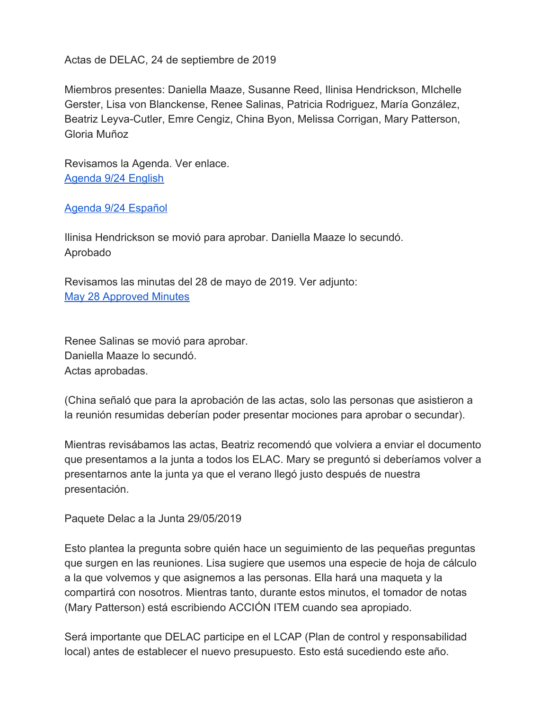Actas de DELAC, 24 de septiembre de 2019

Miembros presentes: Daniella Maaze, Susanne Reed, Ilinisa Hendrickson, MIchelle Gerster, Lisa von Blanckense, Renee Salinas, Patricia Rodriguez, María González, Beatriz Leyva-Cutler, Emre Cengiz, China Byon, Melissa Corrigan, Mary Patterson, Gloria Muñoz

Revisamos la Agenda. Ver enlace. [Agenda 9/24 English](https://docs.google.com/document/d/15siNEbQSwiVah4-HvQHwL37z4lE78Wb1zs7O2A1Um3o/edit?usp=sharing)

[Agenda 9/24 Español](https://docs.google.com/document/d/1Echn2GzQmA8fgEB_RJjq5SAop5K_T5D4QNTnQtCfn9U/edit?usp=sharing)

Ilinisa Hendrickson se movió para aprobar. Daniella Maaze lo secundó. Aprobado

Revisamos las minutas del 28 de mayo de 2019. Ver adjunto: [May 28 Approved Minutes](https://docs.google.com/document/d/1sD2Gmc3WohqyiJZh9YCZ4qzTLGAOVNey3dkq2R2Qy58/edit?usp=sharing)

Renee Salinas se movió para aprobar. Daniella Maaze lo secundó. Actas aprobadas.

(China señaló que para la aprobación de las actas, solo las personas que asistieron a la reunión resumidas deberían poder presentar mociones para aprobar o secundar).

Mientras revisábamos las actas, Beatriz recomendó que volviera a enviar el documento que presentamos a la junta a todos los ELAC. Mary se preguntó si deberíamos volver a presentarnos ante la junta ya que el verano llegó justo después de nuestra presentación.

Paquete Delac a la Junta 29/05/2019

Esto plantea la pregunta sobre quién hace un seguimiento de las pequeñas preguntas que surgen en las reuniones. Lisa sugiere que usemos una especie de hoja de cálculo a la que volvemos y que asignemos a las personas. Ella hará una maqueta y la compartirá con nosotros. Mientras tanto, durante estos minutos, el tomador de notas (Mary Patterson) está escribiendo ACCIÓN ITEM cuando sea apropiado.

Será importante que DELAC participe en el LCAP (Plan de control y responsabilidad local) antes de establecer el nuevo presupuesto. Esto está sucediendo este año.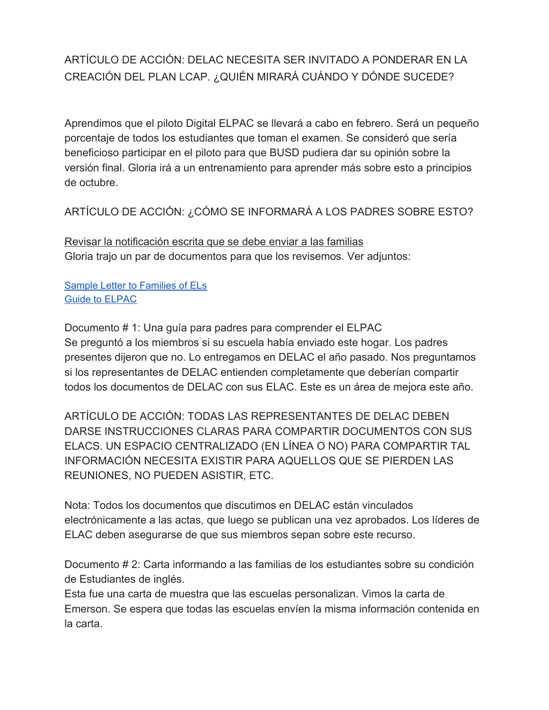# ARTÍCULO DE ACCIÓN: DELAC NECESITA SER INVITADO A PONDERAR EN LA CREACIÓN DEL PLAN LCAP. ¿QUIÉN MIRARÁ CUÁNDO Y DÓNDE SUCEDE?

Aprendimos que el piloto Digital ELPAC se llevará a cabo en febrero. Será un pequeño porcentaje de todos los estudiantes que toman el examen. Se consideró que sería beneficioso participar en el piloto para que BUSD pudiera dar su opinión sobre la versión final. Gloria irá a un entrenamiento para aprender más sobre esto a principios de octubre.

ARTÍCULO DE ACCIÓN: ¿CÓMO SE INFORMARÁ A LOS PADRES SOBRE ESTO?

Revisar la notificación escrita que se debe enviar a las familias Gloria trajo un par de documentos para que los revisemos. Ver adjuntos:

Sample Letter to [Families](https://drive.google.com/file/d/0B0TcvL4rMQHwb3djaVM3M3RoNVhsQjJjanU3ejcta2M5N01v/view?usp=sharing) of ELs Guide to [ELPAC](https://drive.google.com/file/d/0B0TcvL4rMQHwZ3NpUVJUVVNaQUpRX1g0aGg3RDYzLUpSUng0/view?usp=sharing)

Documento # 1: Una guía para padres para comprender el ELPAC Se preguntó a los miembros si su escuela había enviado este hogar. Los padres presentes dijeron que no. Lo entregamos en DELAC el año pasado. Nos preguntamos si los representantes de DELAC entienden completamente que deberían compartir todos los documentos de DELAC con sus ELAC. Este es un área de mejora este año.

ARTÍCULO DE ACCIÓN: TODAS LAS REPRESENTANTES DE DELAC DEBEN DARSE INSTRUCCIONES CLARAS PARA COMPARTIR DOCUMENTOS CON SUS ELACS. UN ESPACIO CENTRALIZADO (EN LÍNEA O NO) PARA COMPARTIR TAL INFORMACIÓN NECESITA EXISTIR PARA AQUELLOS QUE SE PIERDEN LAS REUNIONES, NO PUEDEN ASISTIR, ETC.

Nota: Todos los documentos que discutimos en DELAC están vinculados electrónicamente a las actas, que luego se publican una vez aprobados. Los líderes de ELAC deben asegurarse de que sus miembros sepan sobre este recurso.

Documento # 2: Carta informando a las familias de los estudiantes sobre su condición de Estudiantes de inglés.

Esta fue una carta de muestra que las escuelas personalizan. Vimos la carta de Emerson. Se espera que todas las escuelas envíen la misma información contenida en la carta.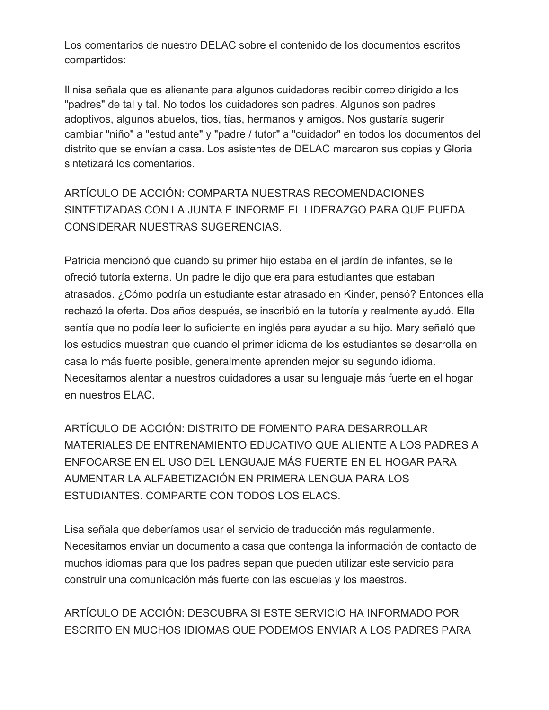Los comentarios de nuestro DELAC sobre el contenido de los documentos escritos compartidos:

Ilinisa señala que es alienante para algunos cuidadores recibir correo dirigido a los "padres" de tal y tal. No todos los cuidadores son padres. Algunos son padres adoptivos, algunos abuelos, tíos, tías, hermanos y amigos. Nos gustaría sugerir cambiar "niño" a "estudiante" y "padre / tutor" a "cuidador" en todos los documentos del distrito que se envían a casa. Los asistentes de DELAC marcaron sus copias y Gloria sintetizará los comentarios.

ARTÍCULO DE ACCIÓN: COMPARTA NUESTRAS RECOMENDACIONES SINTETIZADAS CON LA JUNTA E INFORME EL LIDERAZGO PARA QUE PUEDA CONSIDERAR NUESTRAS SUGERENCIAS.

Patricia mencionó que cuando su primer hijo estaba en el jardín de infantes, se le ofreció tutoría externa. Un padre le dijo que era para estudiantes que estaban atrasados. ¿Cómo podría un estudiante estar atrasado en Kinder, pensó? Entonces ella rechazó la oferta. Dos años después, se inscribió en la tutoría y realmente ayudó. Ella sentía que no podía leer lo suficiente en inglés para ayudar a su hijo. Mary señaló que los estudios muestran que cuando el primer idioma de los estudiantes se desarrolla en casa lo más fuerte posible, generalmente aprenden mejor su segundo idioma. Necesitamos alentar a nuestros cuidadores a usar su lenguaje más fuerte en el hogar en nuestros ELAC.

ARTÍCULO DE ACCIÓN: DISTRITO DE FOMENTO PARA DESARROLLAR MATERIALES DE ENTRENAMIENTO EDUCATIVO QUE ALIENTE A LOS PADRES A ENFOCARSE EN EL USO DEL LENGUAJE MÁS FUERTE EN EL HOGAR PARA AUMENTAR LA ALFABETIZACIÓN EN PRIMERA LENGUA PARA LOS ESTUDIANTES. COMPARTE CON TODOS LOS ELACS.

Lisa señala que deberíamos usar el servicio de traducción más regularmente. Necesitamos enviar un documento a casa que contenga la información de contacto de muchos idiomas para que los padres sepan que pueden utilizar este servicio para construir una comunicación más fuerte con las escuelas y los maestros.

ARTÍCULO DE ACCIÓN: DESCUBRA SI ESTE SERVICIO HA INFORMADO POR ESCRITO EN MUCHOS IDIOMAS QUE PODEMOS ENVIAR A LOS PADRES PARA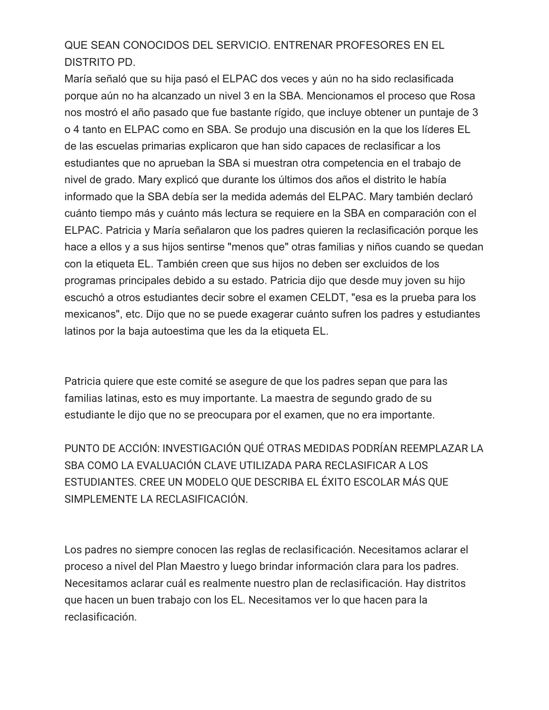# QUE SEAN CONOCIDOS DEL SERVICIO. ENTRENAR PROFESORES EN EL DISTRITO PD.

María señaló que su hija pasó el ELPAC dos veces y aún no ha sido reclasificada porque aún no ha alcanzado un nivel 3 en la SBA. Mencionamos el proceso que Rosa nos mostró el año pasado que fue bastante rígido, que incluye obtener un puntaje de 3 o 4 tanto en ELPAC como en SBA. Se produjo una discusión en la que los líderes EL de las escuelas primarias explicaron que han sido capaces de reclasificar a los estudiantes que no aprueban la SBA si muestran otra competencia en el trabajo de nivel de grado. Mary explicó que durante los últimos dos años el distrito le había informado que la SBA debía ser la medida además del ELPAC. Mary también declaró cuánto tiempo más y cuánto más lectura se requiere en la SBA en comparación con el ELPAC. Patricia y María señalaron que los padres quieren la reclasificación porque les hace a ellos y a sus hijos sentirse "menos que" otras familias y niños cuando se quedan con la etiqueta EL. También creen que sus hijos no deben ser excluidos de los programas principales debido a su estado. Patricia dijo que desde muy joven su hijo escuchó a otros estudiantes decir sobre el examen CELDT, "esa es la prueba para los mexicanos", etc. Dijo que no se puede exagerar cuánto sufren los padres y estudiantes latinos por la baja autoestima que les da la etiqueta EL.

Patricia quiere que este comité se asegure de que los padres sepan que para las familias latinas, esto es muy importante. La maestra de segundo grado de su estudiante le dijo que no se preocupara por el examen, que no era importante.

PUNTO DE ACCIÓN: INVESTIGACIÓN QUÉ OTRAS MEDIDAS PODRÍAN REEMPLAZAR LA SBA COMO LA EVALUACIÓN CLAVE UTILIZADA PARA RECLASIFICAR A LOS ESTUDIANTES. CREE UN MODELO QUE DESCRIBA EL ÉXITO ESCOLAR MÁS QUE SIMPLEMENTE LA RECLASIFICACIÓN.

Los padres no siempre conocen las reglas de reclasificación. Necesitamos aclarar el proceso a nivel del Plan Maestro y luego brindar información clara para los padres. Necesitamos aclarar cuál es realmente nuestro plan de reclasificación. Hay distritos que hacen un buen trabajo con los EL. Necesitamos ver lo que hacen para la reclasificación.